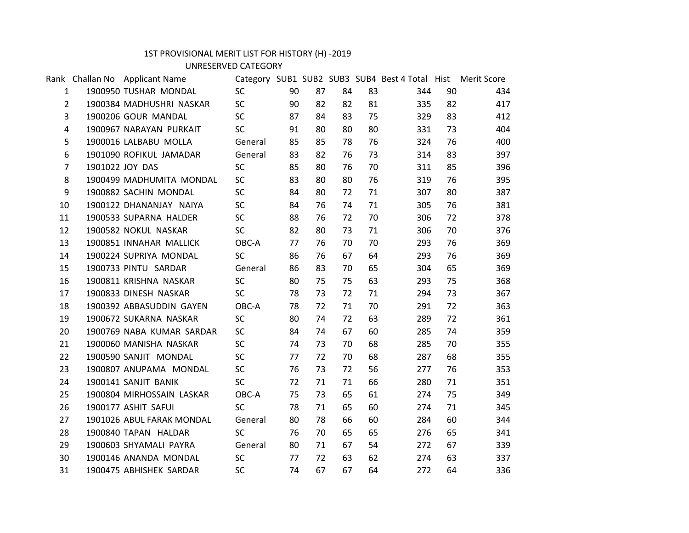## 1ST PROVISIONAL MERIT LIST FOR HISTORY (H) -2019

UNRESERVED CATEGORY

|                | Rank Challan No Applicant Name |           |    |    |    |    | Category SUB1 SUB2 SUB3 SUB4 Best 4 Total Hist Merit Score |    |     |
|----------------|--------------------------------|-----------|----|----|----|----|------------------------------------------------------------|----|-----|
| $\mathbf{1}$   | 1900950 TUSHAR MONDAL          | <b>SC</b> | 90 | 87 | 84 | 83 | 344                                                        | 90 | 434 |
| $2^{\circ}$    | 1900384 MADHUSHRI NASKAR       | <b>SC</b> | 90 | 82 | 82 | 81 | 335                                                        | 82 | 417 |
| 3              | 1900206 GOUR MANDAL            | <b>SC</b> | 87 | 84 | 83 | 75 | 329                                                        | 83 | 412 |
| 4              | 1900967 NARAYAN PURKAIT        | <b>SC</b> | 91 | 80 | 80 | 80 | 331                                                        | 73 | 404 |
| 5              | 1900016 LALBABU MOLLA          | General   | 85 | 85 | 78 | 76 | 324                                                        | 76 | 400 |
| 6              | 1901090 ROFIKUL JAMADAR        | General   | 83 | 82 | 76 | 73 | 314                                                        | 83 | 397 |
| $\overline{7}$ | 1901022 JOY DAS                | <b>SC</b> | 85 | 80 | 76 | 70 | 311                                                        | 85 | 396 |
| 8              | 1900499 MADHUMITA MONDAL       | SC        | 83 | 80 | 80 | 76 | 319                                                        | 76 | 395 |
| 9              | 1900882 SACHIN MONDAL          | <b>SC</b> | 84 | 80 | 72 | 71 | 307                                                        | 80 | 387 |
| 10             | 1900122 DHANANJAY NAIYA        | <b>SC</b> | 84 | 76 | 74 | 71 | 305                                                        | 76 | 381 |
| 11             | 1900533 SUPARNA HALDER         | <b>SC</b> | 88 | 76 | 72 | 70 | 306                                                        | 72 | 378 |
| 12             | 1900582 NOKUL NASKAR           | <b>SC</b> | 82 | 80 | 73 | 71 | 306                                                        | 70 | 376 |
| 13             | 1900851 INNAHAR MALLICK        | OBC-A     | 77 | 76 | 70 | 70 | 293                                                        | 76 | 369 |
| 14             | 1900224 SUPRIYA MONDAL         | <b>SC</b> | 86 | 76 | 67 | 64 | 293                                                        | 76 | 369 |
| 15             | 1900733 PINTU SARDAR           | General   | 86 | 83 | 70 | 65 | 304                                                        | 65 | 369 |
| 16             | 1900811 KRISHNA NASKAR         | <b>SC</b> | 80 | 75 | 75 | 63 | 293                                                        | 75 | 368 |
| 17             | 1900833 DINESH NASKAR          | <b>SC</b> | 78 | 73 | 72 | 71 | 294                                                        | 73 | 367 |
| 18             | 1900392 ABBASUDDIN GAYEN       | OBC-A     | 78 | 72 | 71 | 70 | 291                                                        | 72 | 363 |
| 19             | 1900672 SUKARNA NASKAR         | <b>SC</b> | 80 | 74 | 72 | 63 | 289                                                        | 72 | 361 |
| 20             | 1900769 NABA KUMAR SARDAR      | <b>SC</b> | 84 | 74 | 67 | 60 | 285                                                        | 74 | 359 |
| 21             | 1900060 MANISHA NASKAR         | <b>SC</b> | 74 | 73 | 70 | 68 | 285                                                        | 70 | 355 |
| 22             | 1900590 SANJIT MONDAL          | <b>SC</b> | 77 | 72 | 70 | 68 | 287                                                        | 68 | 355 |
| 23             | 1900807 ANUPAMA MONDAL         | <b>SC</b> | 76 | 73 | 72 | 56 | 277                                                        | 76 | 353 |
| 24             | 1900141 SANJIT BANIK           | <b>SC</b> | 72 | 71 | 71 | 66 | 280                                                        | 71 | 351 |
| 25             | 1900804 MIRHOSSAIN LASKAR      | OBC-A     | 75 | 73 | 65 | 61 | 274                                                        | 75 | 349 |
| 26             | 1900177 ASHIT SAFUI            | <b>SC</b> | 78 | 71 | 65 | 60 | 274                                                        | 71 | 345 |
| 27             | 1901026 ABUL FARAK MONDAL      | General   | 80 | 78 | 66 | 60 | 284                                                        | 60 | 344 |
| 28             | 1900840 TAPAN HALDAR           | <b>SC</b> | 76 | 70 | 65 | 65 | 276                                                        | 65 | 341 |
| 29             | 1900603 SHYAMALI PAYRA         | General   | 80 | 71 | 67 | 54 | 272                                                        | 67 | 339 |
| 30             | 1900146 ANANDA MONDAL          | <b>SC</b> | 77 | 72 | 63 | 62 | 274                                                        | 63 | 337 |
| 31             | 1900475 ABHISHEK SARDAR        | <b>SC</b> | 74 | 67 | 67 | 64 | 272                                                        | 64 | 336 |